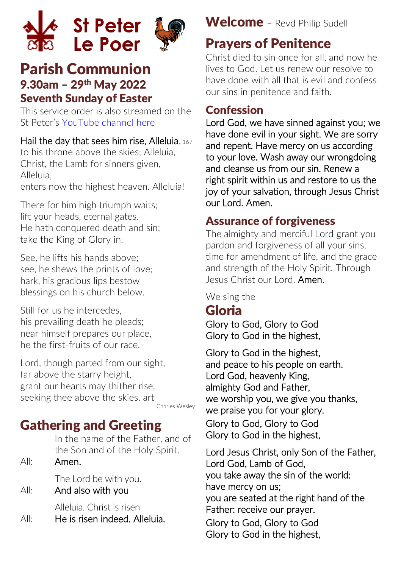



## Parish Communion 9.30am – 29 th May 2022 Seventh Sunday of Easter

This service order is also streamed on the St Peter's [YouTube channel here](https://www.youtube.com/channel/UC6UIg8_l7nZgnqxFmrjSWYA)

#### Hail the day that sees him rise, Alleluia, <sup>167</sup>

to his throne above the skies; Alleluia, Christ, the Lamb for sinners given, Alleluia,

enters now the highest heaven. Alleluia!

There for him high triumph waits; lift your heads, eternal gates. He hath conquered death and sin; take the King of Glory in.

See, he lifts his hands above; see, he shews the prints of love; hark, his gracious lips bestow blessings on his church below.

Still for us he intercedes, his prevailing death he pleads; near himself prepares our place, he the first-fruits of our race.

Lord, though parted from our sight, far above the starry height. grant our hearts may thither rise, seeking thee above the skies. art

Charles Wesley

# Gathering and Greeting

In the name of the Father, and of the Son and of the Holy Spirit.

All: Amen.

The Lord be with you.

All: And also with you

Alleluia. Christ is risen

All: He is risen indeed. Alleluia.

## Welcome - Revd Philip Sudell

# Prayers of Penitence

Christ died to sin once for all, and now he lives to God. Let us renew our resolve to have done with all that is evil and confess our sins in penitence and faith.

### **Confession**

Lord God, we have sinned against you; we have done evil in your sight. We are sorry and repent. Have mercy on us according to your love. Wash away our wrongdoing and cleanse us from our sin. Renew a right spirit within us and restore to us the joy of your salvation, through Jesus Christ our Lord. Amen.

### Assurance of forgiveness

The almighty and merciful Lord grant you pardon and forgiveness of all your sins, time for amendment of life, and the grace and strength of the Holy Spirit. Through Jesus Christ our Lord. Amen.

We sing the

## Gloria

Glory to God, Glory to God Glory to God in the highest,

Glory to God in the highest, and peace to his people on earth. Lord God, heavenly King, almighty God and Father, we worship you, we give you thanks, we praise you for your glory. Glory to God, Glory to God Glory to God in the highest,

Lord Jesus Christ, only Son of the Father, Lord God, Lamb of God, you take away the sin of the world: have mercy on us; you are seated at the right hand of the Father: receive our prayer. Glory to God, Glory to God Glory to God in the highest,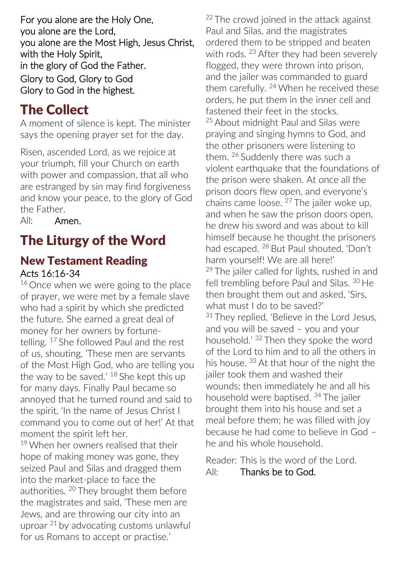For you alone are the Holy One, you alone are the Lord, you alone are the Most High, Jesus Christ, with the Holy Spirit, in the glory of God the Father. Glory to God, Glory to God Glory to God in the highest.

## The Collect

A moment of silence is kept. The minister says the opening prayer set for the day.

Risen, ascended Lord, as we rejoice at your triumph, fill your Church on earth with power and compassion, that all who are estranged by sin may find forgiveness and know your peace, to the glory of God the Father.

All: Amen.

## The Liturgy of the Word

### New Testament Reading Acts 16:16-34

 $16$  Once when we were going to the place of prayer, we were met by a female slave who had a spirit by which she predicted the future. She earned a great deal of money for her owners by fortunetelling. <sup>17</sup> She followed Paul and the rest of us, shouting, 'These men are servants of the Most High God, who are telling you the way to be saved.' <sup>18</sup> She kept this up for many days. Finally Paul became so annoyed that he turned round and said to the spirit, 'In the name of Jesus Christ I command you to come out of her!' At that moment the spirit left her.

<sup>19</sup> When her owners realised that their hope of making money was gone, they seized Paul and Silas and dragged them into the market-place to face the authorities. <sup>20</sup> They brought them before the magistrates and said, 'These men are Jews, and are throwing our city into an uproar <sup>21</sup> by advocating customs unlawful for us Romans to accept or practise.'

<sup>22</sup> The crowd joined in the attack against Paul and Silas, and the magistrates ordered them to be stripped and beaten with rods. <sup>23</sup> After they had been severely flogged, they were thrown into prison, and the jailer was commanded to guard them carefully. <sup>24</sup> When he received these orders, he put them in the inner cell and fastened their feet in the stocks. <sup>25</sup> About midnight Paul and Silas were praying and singing hymns to God, and the other prisoners were listening to them. <sup>26</sup> Suddenly there was such a violent earthquake that the foundations of the prison were shaken. At once all the prison doors flew open, and everyone's chains came loose. <sup>27</sup> The jailer woke up, and when he saw the prison doors open, he drew his sword and was about to kill himself because he thought the prisoners had escaped. <sup>28</sup> But Paul shouted, 'Don't harm yourself! We are all here!'  $29$  The jailer called for lights, rushed in and fell trembling before Paul and Silas. <sup>30</sup> He then brought them out and asked, 'Sirs, what must I do to be saved?' <sup>31</sup> They replied, 'Believe in the Lord Jesus, and you will be saved – you and your household.' <sup>32</sup> Then they spoke the word of the Lord to him and to all the others in his house. <sup>33</sup> At that hour of the night the jailer took them and washed their wounds; then immediately he and all his household were baptised. <sup>34</sup> The jailer brought them into his house and set a meal before them; he was filled with joy because he had come to believe in God – he and his whole household.

Reader: This is the word of the Lord. All: Thanks be to God.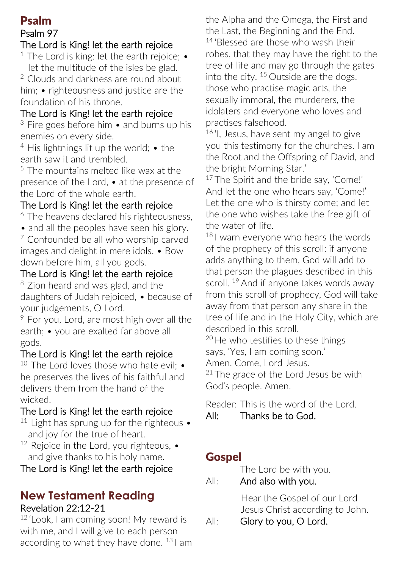### Psalm Psalm 97

### The Lord is King! let the earth rejoice

<sup>1</sup> The Lord is king: let the earth rejoice:  $\bullet$ let the multitude of the isles be glad.

<sup>2</sup>Clouds and darkness are round about him; • righteousness and justice are the foundation of his throne.

#### The Lord is King! let the earth rejoice

 $3$  Fire goes before him  $\bullet$  and burns up his enemies on every side.

 $4$  His lightnings lit up the world:  $\bullet$  the earth saw it and trembled.

<sup>5</sup> The mountains melted like way at the presence of the Lord, • at the presence of the Lord of the whole earth.

### The Lord is King! let the earth rejoice

 $6$  The heavens declared his righteousness.

• and all the peoples have seen his glory.

<sup>7</sup> Confounded be all who worship carved images and delight in mere idols. • Bow down before him, all you gods.

### The Lord is King! let the earth rejoice

<sup>8</sup> Zion heard and was glad, and the daughters of Judah rejoiced, • because of your judgements, O Lord.

<sup>9</sup> For you, Lord, are most high over all the earth; • you are exalted far above all gods.

#### The Lord is King! let the earth rejoice

10 The Lord loves those who hate evil:  $\bullet$ he preserves the lives of his faithful and delivers them from the hand of the wicked.

### The Lord is King! let the earth rejoice

- <sup>11</sup> Light has sprung up for the righteous  $\bullet$ and joy for the true of heart.
- $12$  Rejoice in the Lord, you righteous,  $\bullet$ and give thanks to his holy name.

#### The Lord is King! let the earth rejoice

### **New Testament Reading** Revelation 22:12-21

<sup>12</sup> 'Look, I am coming soon! My reward is with me, and I will give to each person according to what they have done.  $13$  I am

the Alpha and the Omega, the First and the Last, the Beginning and the End. <sup>14</sup> 'Blessed are those who wash their robes, that they may have the right to the tree of life and may go through the gates into the city.  $15$  Outside are the dogs. those who practise magic arts, the sexually immoral, the murderers, the idolaters and everyone who loves and practises falsehood.

<sup>16</sup> 'I. Jesus, have sent my angel to give you this testimony for the churches. I am the Root and the Offspring of David, and the bright Morning Star.'

<sup>17</sup> The Spirit and the bride say, 'Come!' And let the one who hears say, 'Come!' Let the one who is thirsty come; and let the one who wishes take the free gift of the water of life.

<sup>18</sup> I warn everyone who hears the words of the prophecy of this scroll: if anyone adds anything to them, God will add to that person the plagues described in this scroll. <sup>19</sup> And if anyone takes words away from this scroll of prophecy, God will take away from that person any share in the tree of life and in the Holy City, which are described in this scroll.

<sup>20</sup> He who testifies to these things says, 'Yes, I am coming soon.'

Amen. Come, Lord Jesus.

 $21$  The grace of the Lord Jesus be with God's people. Amen.

Reader: This is the word of the Lord.

All: Thanks be to God.

### Gospel

The Lord be with you.

#### All: And also with you.

Hear the Gospel of our Lord Jesus Christ according to John.

All: Glory to you, O Lord.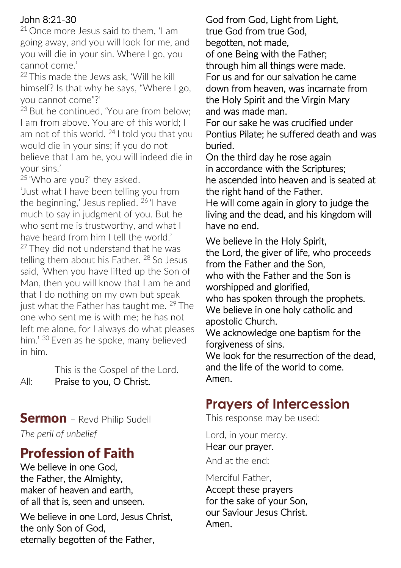#### John 8:21-30

<sup>21</sup> Once more Jesus said to them, 'I am going away, and you will look for me, and you will die in your sin. Where I go, you cannot come.'

<sup>22</sup> This made the Jews ask, 'Will he kill himself? Is that why he says, "Where I go. you cannot come"?'

 $23$  But he continued. 'You are from below: I am from above. You are of this world; I am not of this world. <sup>24</sup> I told you that you would die in your sins; if you do not believe that I am he, you will indeed die in your sins.'

<sup>25</sup> 'Who are you?' they asked.

'Just what I have been telling you from the beginning,' Jesus replied. <sup>26</sup> 'I have much to say in judgment of you. But he who sent me is trustworthy, and what I have heard from him I tell the world.' <sup>27</sup> They did not understand that he was telling them about his Father. <sup>28</sup> So Jesus said, 'When you have lifted up the Son of Man, then you will know that I am he and that I do nothing on my own but speak just what the Father has taught me. <sup>29</sup> The one who sent me is with me; he has not left me alone, for I always do what pleases him.' <sup>30</sup> Even as he spoke, many believed in him.

This is the Gospel of the Lord. All: Praise to you, O Christ.

**Sermon** - Revd Philip Sudell *The peril of unbelief*

## Profession of Faith

We believe in one God, the Father, the Almighty, maker of heaven and earth, of all that is, seen and unseen.

We believe in one Lord, Jesus Christ, the only Son of God, eternally begotten of the Father,

God from God, Light from Light, true God from true God, begotten, not made, of one Being with the Father; through him all things were made. For us and for our salvation he came down from heaven, was incarnate from the Holy Spirit and the Virgin Mary and was made man. For our sake he was crucified under

Pontius Pilate; he suffered death and was buried.

On the third day he rose again in accordance with the Scriptures; he ascended into heaven and is seated at the right hand of the Father.

He will come again in glory to judge the living and the dead, and his kingdom will have no end.

We believe in the Holy Spirit. the Lord, the giver of life, who proceeds from the Father and the Son, who with the Father and the Son is worshipped and glorified,

who has spoken through the prophets. We believe in one holy catholic and apostolic Church.

We acknowledge one baptism for the forgiveness of sins.

We look for the resurrection of the dead. and the life of the world to come. Amen.

## **Prayers of Intercession**

This response may be used:

Lord, in your mercy.

Hear our prayer.

And at the end:

#### Merciful Father,

Accept these prayers for the sake of your Son, our Saviour Jesus Christ. Amen.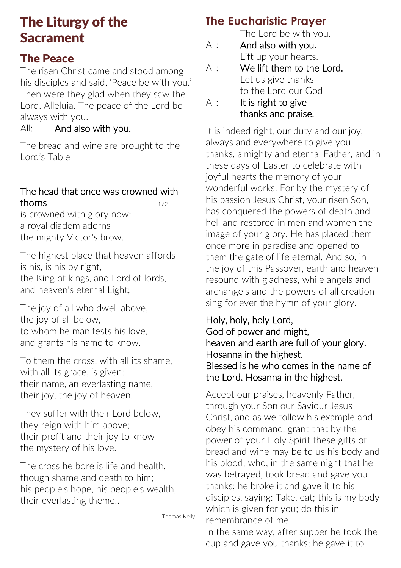# The Liturgy of the Sacrament

### The Peace

The risen Christ came and stood among his disciples and said, 'Peace be with you.' Then were they glad when they saw the Lord. Alleluia. The peace of the Lord be always with you.

#### All: And also with you.

The bread and wine are brought to the Lord's Table

#### The head that once was crowned with  $thorns$  172

is crowned with glory now: a royal diadem adorns the mighty Victor's brow.

The highest place that heaven affords is his, is his by right, the King of kings, and Lord of lords, and heaven's eternal Light;

The joy of all who dwell above. the joy of all below, to whom he manifests his love, and grants his name to know.

To them the cross, with all its shame, with all its grace, is given: their name, an everlasting name, their joy, the joy of heaven.

They suffer with their Lord below, they reign with him above; their profit and their joy to know the mystery of his love.

The cross he bore is life and health though shame and death to him; his people's hope, his people's wealth, their everlasting theme..

Thomas Kelly

## **The Eucharistic Prayer**

The Lord be with you.

- All: And also with you.
- Lift up your hearts. All: We lift them to the Lord. Let us give thanks to the Lord our God
- All: It is right to give thanks and praise.

It is indeed right, our duty and our joy, always and everywhere to give you thanks, almighty and eternal Father, and in these days of Easter to celebrate with joyful hearts the memory of your wonderful works. For by the mystery of his passion Jesus Christ, your risen Son, has conquered the powers of death and hell and restored in men and women the image of your glory. He has placed them once more in paradise and opened to them the gate of life eternal. And so, in the joy of this Passover, earth and heaven resound with gladness, while angels and archangels and the powers of all creation sing for ever the hymn of your glory.

Holy, holy, holy Lord, God of power and might, heaven and earth are full of your glory. Hosanna in the highest. Blessed is he who comes in the name of the Lord. Hosanna in the highest.

Accept our praises, heavenly Father, through your Son our Saviour Jesus Christ, and as we follow his example and obey his command, grant that by the power of your Holy Spirit these gifts of bread and wine may be to us his body and his blood; who, in the same night that he was betrayed, took bread and gave you thanks; he broke it and gave it to his disciples, saying: Take, eat; this is my body which is given for you; do this in remembrance of me.

In the same way, after supper he took the cup and gave you thanks; he gave it to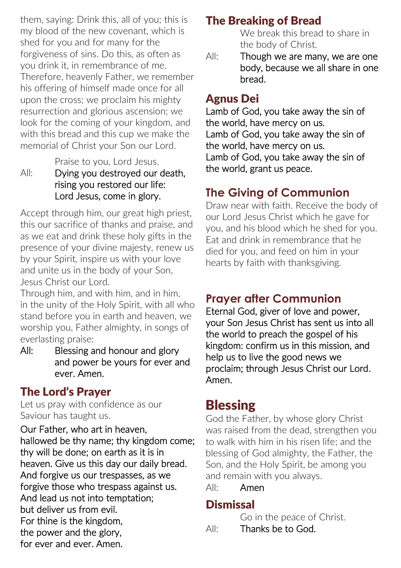them, saying: Drink this, all of you; this is my blood of the new covenant, which is shed for you and for many for the forgiveness of sins. Do this, as often as you drink it, in remembrance of me. Therefore, heavenly Father, we remember his offering of himself made once for all upon the cross; we proclaim his mighty resurrection and glorious ascension; we look for the coming of your kingdom, and with this bread and this cup we make the memorial of Christ your Son our Lord.

Praise to you, Lord Jesus.

All: Dying you destroyed our death, rising you restored our life: Lord Jesus, come in glory.

Accept through him, our great high priest, this our sacrifice of thanks and praise, and as we eat and drink these holy gifts in the presence of your divine majesty, renew us by your Spirit, inspire us with your love and unite us in the body of your Son, Jesus Christ our Lord.

Through him, and with him, and in him, in the unity of the Holy Spirit, with all who stand before you in earth and heaven, we worship you, Father almighty, in songs of everlasting praise:

All: Blessing and honour and glory and power be yours for ever and ever. Amen.

### The Lord's Prayer

Let us pray with confidence as our Saviour has taught us.

Our Father, who art in heaven, hallowed be thy name; thy kingdom come; thy will be done; on earth as it is in heaven. Give us this day our daily bread. And forgive us our trespasses, as we forgive those who trespass against us. And lead us not into temptation; but deliver us from evil. For thine is the kingdom, the power and the glory, for ever and ever. Amen.

## The Breaking of Bread

We break this bread to share in the body of Christ.

All: Though we are many, we are one body, because we all share in one bread.

### Agnus Dei

Lamb of God, you take away the sin of the world, have mercy on us. Lamb of God, you take away the sin of the world, have mercy on us. Lamb of God, you take away the sin of the world, grant us peace.

### **The Giving of Communion**

Draw near with faith. Receive the body of our Lord Jesus Christ which he gave for you, and his blood which he shed for you. Eat and drink in remembrance that he died for you, and feed on him in your hearts by faith with thanksgiving.

## **Prayer after Communion**

Eternal God, giver of love and power, your Son Jesus Christ has sent us into all the world to preach the gospel of his kingdom: confirm us in this mission, and help us to live the good news we proclaim; through Jesus Christ our Lord. Amen.

## **Blessing**

God the Father, by whose glory Christ was raised from the dead, strengthen you to walk with him in his risen life; and the blessing of God almighty, the Father, the Son, and the Holy Spirit, be among you and remain with you always.

All: Amen

### **Dismissal**

Go in the peace of Christ.

All: Thanks be to God.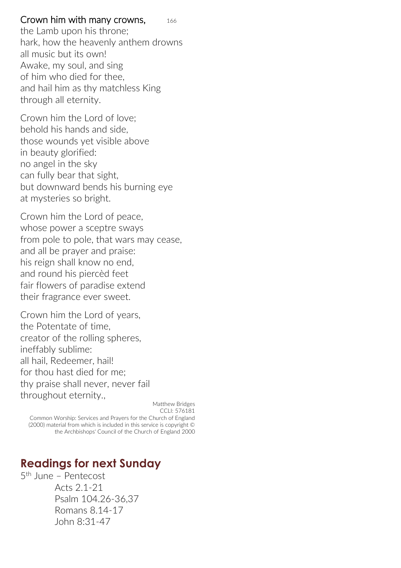#### Crown him with many crowns,  $166$

the Lamb upon his throne; hark, how the heavenly anthem drowns all music but its own! Awake, my soul, and sing of him who died for thee, and hail him as thy matchless King through all eternity.

Crown him the Lord of love; behold his hands and side, those wounds yet visible above in beauty glorified: no angel in the sky can fully bear that sight, but downward bends his burning eye at mysteries so bright.

Crown him the Lord of peace, whose power a sceptre sways from pole to pole, that wars may cease, and all be prayer and praise: his reign shall know no end, and round his piercèd feet fair flowers of paradise extend their fragrance ever sweet.

Crown him the Lord of years, the Potentate of time, creator of the rolling spheres, ineffably sublime: all hail, Redeemer, hail! for thou hast died for me; thy praise shall never, never fail throughout eternity.,

Matthew Bridges CCLI: 576181

Common Worship: Services and Prayers for the Church of England (2000) material from which is included in this service is copyright © the Archbishops' Council of the Church of England 2000

### **Readings for next Sunday**

5 th June – Pentecost Acts 2.1-21 Psalm 104.26-36,37 Romans 8.14-17 John 8:31-47